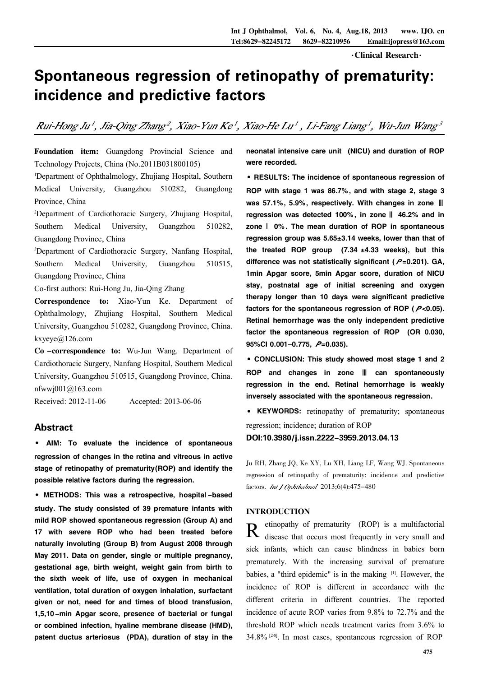窑Clinical Research窑

# Spontaneous regression of retinopathy of prematurity: incidence and predictive factors

Rui-Hong Ju', Jia-Qing Zhang?, Xiao-Yun Ke', Xiao-He Lu', Li-Fang Liang', Wu-Jun Wang3

Foundation item: Guangdong Provincial Science and Technology Projects, China (No.2011B031800105)

<sup>1</sup>Department of Ophthalmology, Zhujiang Hospital, Southern Medical University, Guangzhou 510282, Guangdong Province, China

<sup>2</sup>Department of Cardiothoracic Surgery, Zhujiang Hospital, Southern Medical University, Guangzhou 510282, Guangdong Province, China

<sup>3</sup>Department of Cardiothoracic Surgery, Nanfang Hospital, Southern Medical University, Guangzhou 510515, Guangdong Province, China

Co-first authors: Rui-Hong Ju, Jia-Qing Zhang

Correspondence to: Xiao-Yun Ke. Department of Ophthalmology, Zhujiang Hospital, Southern Medical University, Guangzhou 510282, Guangdong Province, China. kxyeye@126.com

Co -correspondence to: Wu-Jun Wang. Department of Cardiothoracic Surgery, Nanfang Hospital, Southern Medical University, Guangzhou 510515, Guangdong Province, China. nfwwj001@163.com

Received: 2012-11-06 Accepted: 2013-06-06

## Abstract

· AIM: To evaluate the incidence of spontaneous regression of changes in the retina and vitreous in active stage of retinopathy of prematurity(ROP) and identify the possible relative factors during the regression.

·METHODS: This was <sup>a</sup> retrospective, hospital -based study. The study consisted of 39 premature infants with mild ROP showed spontaneous regression (Group A) and 17 with severe ROP who had been treated before naturally involuting (Group B) from August 2008 through May 2011. Data on gender, single or multiple pregnancy, gestational age, birth weight, weight gain from birth to the sixth week of life, use of oxygen in mechanical ventilation, total duration of oxygen inhalation, surfactant given or not, need for and times of blood transfusion, 1,5,10 -min Apgar score, presence of bacterial or fungal or combined infection, hyaline membrane disease (HMD), patent ductus arteriosus (PDA), duration of stay in the neonatal intensive care unit (NICU) and duration of ROP were recorded.

·RESULTS: The incidence of spontaneous regression of ROP with stage 1 was 86.7%, and with stage 2, stage 3 was 57.1%, 5.9%, respectively. With changes in zone  $\parallel\!\!\!\parallel$ regression was detected 100%, in zone  $\parallel$  46.2% and in zone  $|$  0%. The mean duration of ROP in spontaneous regression group was  $5.65 \pm 3.14$  weeks, lower than that of the treated ROP group  $(7.34 \pm 4.33$  weeks), but this difference was not statistically significant ( $P=0.201$ ). GA, 1min Apgar score, 5min Apgar score, duration of NICU stay, postnatal age of initial screening and oxygen therapy longer than 10 days were significant predictive factors for the spontaneous regression of ROP ( $P$ <0.05). Retinal hemorrhage was the only independent predictive factor the spontaneous regression of ROP (OR 0.030, 95%CI 0.001-0.775,  $P=0.035$ ).

·CONCLUSION: This study showed most stage 1 and 2 ROP and changes in zone  $\parallel$  can spontaneously regression in the end. Retinal hemorrhage is weakly inversely associated with the spontaneous regression.

· KEYWORDS: retinopathy of prematurity; spontaneous regression; incidence; duration of ROP

DOI:10.3980/j.issn.2222-3959.2013.04.13

Ju RH, Zhang JQ, Ke XY, Lu XH, Liang LF, Wang WJ. Spontaneous regression of retinopathy of prematurity: incidence and predictive factors. Int J Ophthalmol 2013;6(4):475-480

## INTRODUCTION

R etinopathy of prematurity (ROP) is a multifactorial<br>R disease that occurs most frequently in very small and etinopathy of prematurity (ROP) is a multifactorial sick infants, which can cause blindness in babies born prematurely. With the increasing survival of premature babies, a "third epidemic" is in the making [1]. However, the incidence of ROP is different in accordance with the different criteria in different countries. The reported incidence of acute ROP varies from 9.8% to 72.7% and the threshold ROP which needs treatment varies from 3.6% to 34.8% [2-8] . In most cases, spontaneous regression of ROP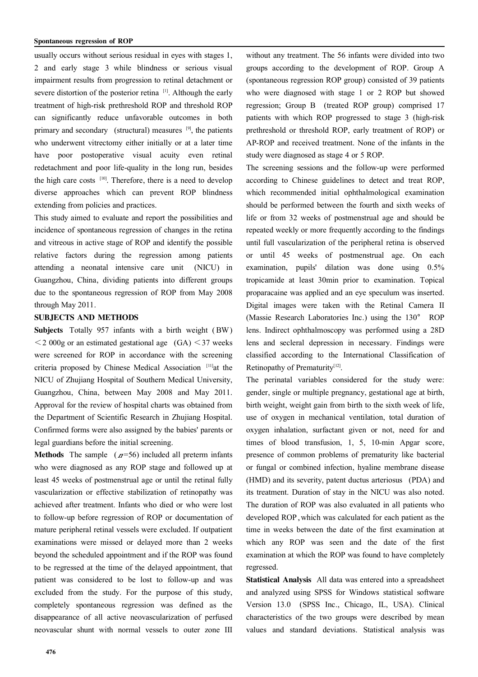usually occurs without serious residual in eyes with stages 1, 2 and early stage 3 while blindness or serious visual impairment results from progression to retinal detachment or severe distortion of the posterior retina [1]. Although the early treatment of high-risk prethreshold ROP and threshold ROP can significantly reduce unfavorable outcomes in both primary and secondary (structural) measures <sup>[9]</sup>, the patients who underwent vitrectomy either initially or at a later time have poor postoperative visual acuity even retinal redetachment and poor life-quality in the long run, besides the high care costs [10]. Therefore, there is a need to develop diverse approaches which can prevent ROP blindness extending from policies and practices.

This study aimed to evaluate and report the possibilities and incidence of spontaneous regression of changes in the retina and vitreous in active stage of ROP and identify the possible relative factors during the regression among patients attending a neonatal intensive care unit (NICU) in Guangzhou, China, dividing patients into different groups due to the spontaneous regression of ROP from May 2008 through May 2011.

#### SUBJECTS AND METHODS

Subjects Totally 957 infants with a birth weight (BW)  $\leq$  2 000g or an estimated gestational age (GA)  $\leq$  37 weeks were screened for ROP in accordance with the screening criteria proposed by Chinese Medical Association [11]at the NICU of Zhujiang Hospital of Southern Medical University, Guangzhou, China, between May 2008 and May 2011. Approval for the review of hospital charts was obtained from the Department of Scientific Research in Zhujiang Hospital. Confirmed forms were also assigned by the babies' parents or legal guardians before the initial screening.

**Methods** The sample  $(A=56)$  included all preterm infants who were diagnosed as any ROP stage and followed up at least 45 weeks of postmenstrual age or until the retinal fully vascularization or effective stabilization of retinopathy was achieved after treatment. Infants who died or who were lost to follow-up before regression of ROP or documentation of mature peripheral retinal vessels were excluded. If outpatient examinations were missed or delayed more than 2 weeks beyond the scheduled appointment and if the ROP was found to be regressed at the time of the delayed appointment, that patient was considered to be lost to follow-up and was excluded from the study. For the purpose of this study, completely spontaneous regression was defined as the disappearance of all active neovascularization of perfused neovascular shunt with normal vessels to outer zone III

without any treatment. The 56 infants were divided into two groups according to the development of ROP. Group A (spontaneous regression ROP group) consisted of 39 patients who were diagnosed with stage 1 or 2 ROP but showed regression; Group B (treated ROP group) comprised 17 patients with which ROP progressed to stage 3 (high-risk prethreshold or threshold ROP, early treatment of ROP) or AP-ROP and received treatment. None of the infants in the study were diagnosed as stage 4 or 5 ROP.

The screening sessions and the follow-up were performed according to Chinese guidelines to detect and treat ROP, which recommended initial ophthalmological examination should be performed between the fourth and sixth weeks of life or from 32 weeks of postmenstrual age and should be repeated weekly or more frequently according to the findings until full vascularization of the peripheral retina is observed or until 45 weeks of postmenstrual age. On each examination, pupils' dilation was done using 0.5% tropicamide at least 30min prior to examination. Topical proparacaine was applied and an eye speculum was inserted. Digital images were taken with the Retinal Camera II (Massie Research Laboratories Inc.) using the 130° ROP lens. Indirect ophthalmoscopy was performed using a 28D lens and secleral depression in necessary. Findings were classified according to the International Classification of Retinopathy of Prematurity<sup>[12]</sup>.

The perinatal variables considered for the study were: gender, single or multiple pregnancy, gestational age at birth, birth weight, weight gain from birth to the sixth week of life, use of oxygen in mechanical ventilation, total duration of oxygen inhalation, surfactant given or not, need for and times of blood transfusion, 1, 5, 10-min Apgar score, presence of common problems of prematurity like bacterial or fungal or combined infection, hyaline membrane disease (HMD) and its severity, patent ductus arteriosus (PDA) and its treatment. Duration of stay in the NICU was also noted. The duration of ROP was also evaluated in all patients who developed ROP, which was calculated for each patient as the time in weeks between the date of the first examination at which any ROP was seen and the date of the first examination at which the ROP was found to have completely regressed.

Statistical Analysis All data was entered into a spreadsheet and analyzed using SPSS for Windows statistical software Version 13.0 (SPSS Inc., Chicago, IL, USA). Clinical characteristics of the two groups were described by mean values and standard deviations. Statistical analysis was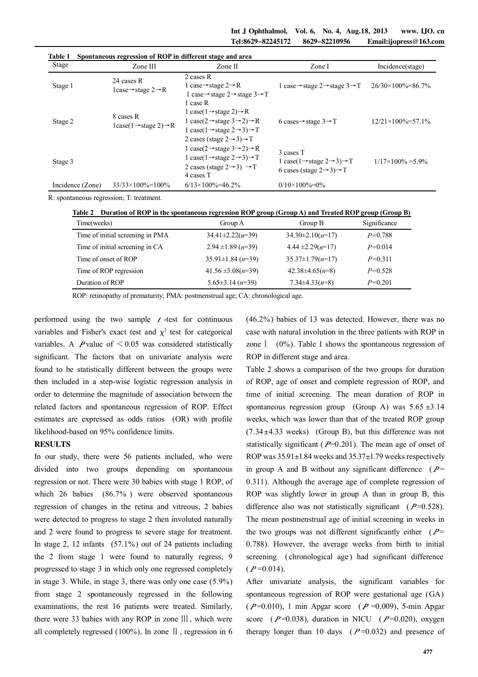| Stage            | Zone III                                                  | Zone II                                                                                                                                                                                                                                                | Zone I                                                                                                                             | Incidence(stage)              |
|------------------|-----------------------------------------------------------|--------------------------------------------------------------------------------------------------------------------------------------------------------------------------------------------------------------------------------------------------------|------------------------------------------------------------------------------------------------------------------------------------|-------------------------------|
| Stage 1          | 24 cases R<br>1case $\rightarrow$ stage 2 $\rightarrow$ R | 2 cases R<br>1 case $\rightarrow$ stage 2 $\rightarrow$ R<br>1 case $\rightarrow$ stage 2 $\rightarrow$ stage 3 $\rightarrow$ T                                                                                                                        | 1 case $\rightarrow$ stage 2 $\rightarrow$ stage 3 $\rightarrow$ T                                                                 | $26/30\times100\% = 86.7\%$   |
| Stage 2          | 8 cases R<br>$lcase(1 \rightarrow stage 2) \rightarrow R$ | 1 case R<br>1 case(1 $\rightarrow$ stage 2) $\rightarrow$ R<br>1 case(2 $\rightarrow$ stage 3 $\rightarrow$ 2) $\rightarrow$ R<br>1 case(1 $\rightarrow$ stage 2 $\rightarrow$ 3) $\rightarrow$ T<br>2 cases (stage $2\rightarrow 3$ ) $\rightarrow$ T | 6 cases $\rightarrow$ stage 3 $\rightarrow$ T                                                                                      | $12/21 \times 100\% = 57.1\%$ |
| Stage 3          |                                                           | 1 case(2 $\rightarrow$ stage 3 $\rightarrow$ 2) $\rightarrow$ R<br>1 case(1 $\rightarrow$ stage 2 $\rightarrow$ 3) $\rightarrow$ T<br>2 cases (stage $2 \rightarrow 3$ ) $\rightarrow T$<br>4 cases T                                                  | 3 cases T<br>1 case(1 $\rightarrow$ stage 2 $\rightarrow$ 3) $\rightarrow$ T<br>6 cases (stage $2 \rightarrow 3$ ) $\rightarrow T$ | $1/17 \times 100\% = 5.9\%$   |
| Incidence (Zone) | $33/33 \times 100\% = 100\%$                              | $6/13 \times 100\% = 46.2\%$                                                                                                                                                                                                                           | $0/10\times100\% = 0\%$                                                                                                            |                               |

**Table 1 Spontaneous regression of ROP in different stage and area** 

R: spontaneous regression; T: treatment.

| Table 2 Duration of ROP in the spontaneous regression ROP group (Group A) and Treated ROP group (Group B) |  |  |
|-----------------------------------------------------------------------------------------------------------|--|--|
|                                                                                                           |  |  |

| Time(weeks)                      | Group A                    | Group B                | Significance |
|----------------------------------|----------------------------|------------------------|--------------|
| Time of initial screening in PMA | $34.41 \pm 2.22(n=39)$     | $34.30 \pm 2.10(n=17)$ | $P=0.788$    |
| Time of initial screening in CA  | $2.94 \pm 1.89$ ( $n=39$ ) | $4.44 \pm 2.29(n=17)$  | $P=0.014$    |
| Time of onset of ROP             | $35.91 \pm 1.84 (n=39)$    | $35.37 \pm 1.79(n=17)$ | $P=0.311$    |
| Time of ROP regression           | 41.56 $\pm 3.08(n=39)$     | $42.38\pm4.65(n=8)$    | $P=0.528$    |
| Duration of ROP                  | $5.65 \pm 3.14 (n=39)$     | $7.34\pm4.33(n=8)$     | $P=0.201$    |

ROP: retinopathy of prematurity; PMA: postmenstrual age; CA: chronological age.

performed using the two sample  $t$ -test for continuous variables and Fisher's exact test and  $\chi^2$  test for categorical variables. A P value of  $\leq 0.05$  was considered statistically significant. The factors that on univariate analysis were found to be statistically different between the groups were then included in a step-wise logistic regression analysis in order to determine the magnitude of association between the related factors and spontaneous regression of ROP. Effect estimates are expressed as odds ratios (OR) with profile likelihood-based on 95% confidence limits.

## **RESULTS**

In our study, there were 56 patients included, who were divided into two groups depending on spontaneous regression or not. There were 30 babies with stage 1 ROP, of which 26 babies (86.7%) were observed spontaneous regression of changes in the retina and vitreous, 2 babies were detected to progress to stage 2 then involuted naturally and 2 were found to progress to severe stage for treatment. In stage 2, 12 infants (57.1%) out of 24 patients including the 2 from stage 1 were found to naturally regress, 9 progressed to stage 3 in which only one regressed completely in stage 3. While, in stage 3, there was only one case (5.9%) from stage 2 spontaneously regressed in the following examinations, the rest 16 patients were treated. Similarly, there were 33 babies with any ROP in zone Ⅲ , which were all completely regressed (100%). In zone Ⅱ, regression in 6

(46.2%) babies of 13 was detected. However, there was no case with natural involution in the three patients with ROP in zone I (0%). Table 1 shows the spontaneous regression of ROP in different stage and area.

Table 2 shows a comparison of the two groups for duration of ROP, age of onset and complete regression of ROP, and time of initial screening. The mean duration of ROP in spontaneous regression group (Group A) was  $5.65 \pm 3.14$ weeks, which was lower than that of the treated ROP group  $(7.34 \pm 4.33$  weeks) (Group B), but this difference was not statistically significant ( $P=0.201$ ). The mean age of onset of ROP was  $35.91 \pm 1.84$  weeks and  $35.37 \pm 1.79$  weeks respectively in group A and B without any significant difference ( $P=$ 0.311). Although the average age of complete regression of ROP was slightly lower in group A than in group B, this difference also was not statistically significant ( $P=0.528$ ). The mean postmenstrual age of initial screening in weeks in the two groups was not different significantly either ( $P=$ 0.788). However, the average weeks from birth to initial screening (chronological age) had significant difference  $(P=0.014)$ .

After univariate analysis, the significant variables for spontaneous regression of ROP were gestational age (GA)  $(P=0.010)$ , 1 min Apgar score ( $P=0.009$ ), 5-min Apgar score ( $P=0.038$ ), duration in NICU ( $P=0.020$ ), oxygen therapy longer than 10 days ( $P=0.032$ ) and presence of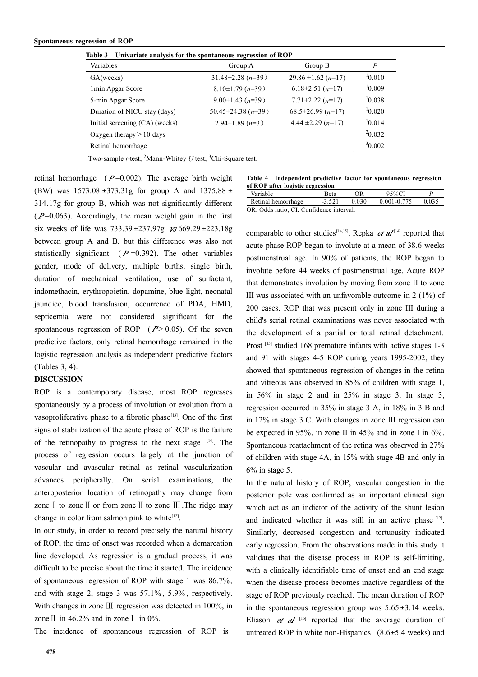**Table 3 Univariate analysis for the spontaneous regression of ROP**

| танк э<br><b>Univariate analysis for the spontaneous regression of KOT</b> |                              |                                 |        |  |
|----------------------------------------------------------------------------|------------------------------|---------------------------------|--------|--|
| Variables                                                                  | Group A                      | Group B                         | P      |  |
| GA(weeks)                                                                  | $31.48 \pm 2.28$ ( $n=39$ )  | $29.86 \pm 1.62 (n=17)$         | 10.010 |  |
| 1 min Apgar Score                                                          | $8.10\pm1.79$ ( $n=39$ )     | 6.18 $\pm$ 2.51 ( <i>n</i> =17) | 10.009 |  |
| 5-min Apgar Score                                                          | $9.00 \pm 1.43$ (n=39)       | $7.71 \pm 2.22$ $(n=17)$        | 10.038 |  |
| Duration of NICU stay (days)                                               | $50.45 \pm 24.38$ ( $n=39$ ) | $68.5 \pm 26.99 (n=17)$         | 10.020 |  |
| Initial screening (CA) (weeks)                                             | $2.94\pm1.89$ (n=3)          | 4.44 $\pm$ 2.29 ( <i>n</i> =17) |        |  |
| Oxygen therapy $> 10$ days                                                 |                              |                                 | 20.032 |  |
| Retinal hemorrhage                                                         |                              |                                 | 30.002 |  |

<sup>1</sup>Two-sample *t*-test; <sup>2</sup>Mann-Whitey *U* test; <sup>3</sup>Chi-Square test.

retinal hemorrhage ( $P=0.002$ ). The average birth weight (BW) was  $1573.08 \pm 373.31g$  for group A and  $1375.88 \pm 15.35g$ 314.17g for group B, which was not significantly different  $(P=0.063)$ . Accordingly, the mean weight gain in the first six weeks of life was  $733.39 \pm 237.97g$   $\kappa s$  669.29  $\pm 223.18g$ between group A and B, but this difference was also not statistically significant ( $P = 0.392$ ). The other variables gender, mode of delivery, multiple births, single birth, duration of mechanical ventilation, use of surfactant, indomethacin, erythropoietin, dopamine, blue light, neonatal jaundice, blood transfusion, occurrence of PDA, HMD, septicemia were not considered significant for the spontaneous regression of ROP ( $P > 0.05$ ). Of the seven predictive factors, only retinal hemorrhage remained in the logistic regression analysis as independent predictive factors (Tables 3, 4).

## DISCUSSION

ROP is a contemporary disease, most ROP regresses spontaneously by a process of involution or evolution from a vasoproliferative phase to a fibrotic phase<sup>[13]</sup>. One of the first signs of stabilization of the acute phase of ROP is the failure of the retinopathy to progress to the next stage [14]. The process of regression occurs largely at the junction of vascular and avascular retinal as retinal vascularization advances peripherally. On serial examinations, the anteroposterior location of retinopathy may change from zoneⅠ to zoneⅡ or from zoneⅡ to zone Ⅲ .The ridge may change in color from salmon pink to white $[12]$ .

In our study, in order to record precisely the natural history of ROP, the time of onset was recorded when a demarcation line developed. As regression is a gradual process, it was difficult to be precise about the time it started. The incidence of spontaneous regression of ROP with stage 1 was 86.7%, and with stage 2, stage 3 was 57.1% , 5.9% , respectively. With changes in zone III regression was detected in 100%, in zone II in  $46.2\%$  and in zone I in  $0\%$ .

The incidence of spontaneous regression of ROP is

**Table 4 Independent predictive factor for spontaneous regression of ROP after logistic regression** 

| Variable                                                      | Beta | ЭR    | $45\%$ CI       |  |  |
|---------------------------------------------------------------|------|-------|-----------------|--|--|
| Retinal hemorrhage                                            |      | 0.030 | $0.001 - 0.775$ |  |  |
| $\Omega$ . $\Omega$ dde retio: $\Omega$ . Confidence intervel |      |       |                 |  |  |

OR: Odds ratio; CI: Confidence interval.

comparable to other studies<sup>[14,15]</sup>. Repka *et al*<sup>[14]</sup> reported that acute-phase ROP began to involute at a mean of 38.6 weeks postmenstrual age. In 90% of patients, the ROP began to involute before 44 weeks of postmenstrual age. Acute ROP that demonstrates involution by moving from zone II to zone III was associated with an unfavorable outcome in 2 (1%) of 200 cases. ROP that was present only in zone III during a child's serial retinal examinations was never associated with the development of a partial or total retinal detachment. Prost [15] studied 168 premature infants with active stages 1-3 and 91 with stages 4-5 ROP during years 1995-2002, they showed that spontaneous regression of changes in the retina and vitreous was observed in 85% of children with stage 1, in 56% in stage 2 and in 25% in stage 3. In stage 3, regression occurred in 35% in stage 3 A, in 18% in 3 B and in 12% in stage 3 C. With changes in zone III regression can be expected in 95%, in zone II in 45% and in zone I in 6%. Spontaneous reattachment of the retina was observed in 27% of children with stage 4A, in 15% with stage 4B and only in  $6\%$  in stage 5.

In the natural history of ROP, vascular congestion in the posterior pole was confirmed as an important clinical sign which act as an indictor of the activity of the shunt lesion and indicated whether it was still in an active phase [12]. Similarly, decreased congestion and tortuousity indicated early regression. From the observations made in this study it validates that the disease process in ROP is self-limiting, with a clinically identifiable time of onset and an end stage when the disease process becomes inactive regardless of the stage of ROP previously reached. The mean duration of ROP in the spontaneous regression group was  $5.65 \pm 3.14$  weeks. Eliason  $et$   $dI$  <sup>[16]</sup> reported that the average duration of untreated ROP in white non-Hispanics  $(8.6 \pm 5.4$  weeks) and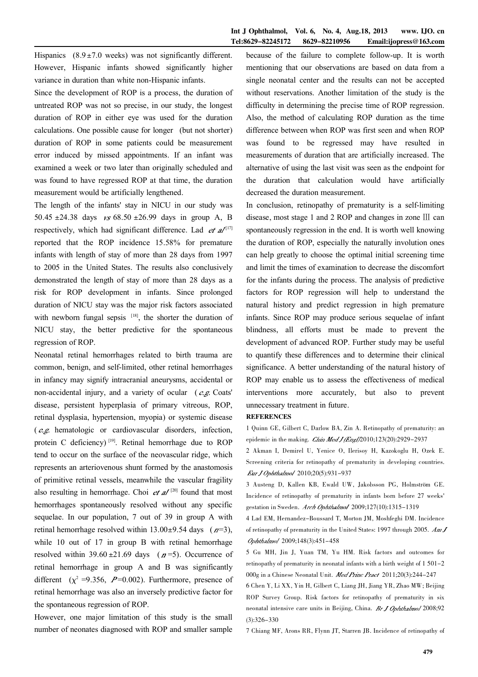Hispanics  $(8.9 \pm 7.0 \text{ weeks})$  was not significantly different. However, Hispanic infants showed significantly higher variance in duration than white non-Hispanic infants.

Since the development of ROP is a process, the duration of untreated ROP was not so precise, in our study, the longest duration of ROP in either eye was used for the duration calculations. One possible cause for longer (but not shorter) duration of ROP in some patients could be measurement error induced by missed appointments. If an infant was examined a week or two later than originally scheduled and was found to have regressed ROP at that time, the duration measurement would be artificially lengthened.

The length of the infants' stay in NICU in our study was 50.45 ±24.38 days  $\frac{1}{5}$  of 68.50 ±26.99 days in group A, B respectively, which had significant difference. Lad  $et$   $a/$ <sup>[17]</sup> reported that the ROP incidence 15.58% for premature infants with length of stay of more than 28 days from 1997 to 2005 in the United States. The results also conclusively demonstrated the length of stay of more than 28 days as a risk for ROP development in infants. Since prolonged duration of NICU stay was the major risk factors associated with newborn fungal sepsis  $[18]$ , the shorter the duration of NICU stay, the better predictive for the spontaneous regression of ROP.

Neonatal retinal hemorrhages related to birth trauma are common, benign, and self-limited, other retinal hemorrhages in infancy may signify intracranial aneurysms, accidental or non-accidental injury, and a variety of ocular  $(e.g.$  Coats' disease, persistent hyperplasia of primary vitreous, ROP, retinal dysplasia, hypertension, myopia) or systemic disease  $(e.g.$  hematologic or cardiovascular disorders, infection, protein C deficiency)<sup>[19]</sup>. Retinal hemorrhage due to ROP tend to occur on the surface of the neovascular ridge, which represents an arteriovenous shunt formed by the anastomosis of primitive retinal vessels, meanwhile the vascular fragility also resulting in hemorrhage. Choi  $et$   $a/20$  found that most hemorrhages spontaneously resolved without any specific sequelae. In our population, 7 out of 39 in group A with retinal hemorrhage resolved within  $13.00 \pm 9.54$  days ( $n=3$ ), while 10 out of 17 in group B with retinal hemorrhage resolved within  $39.60 \pm 21.69$  days ( $n=5$ ). Occurrence of retinal hemorrhage in group A and B was significantly different ( $\chi^2$  =9.356, P=0.002). Furthermore, presence of retinal hemorrhage was also an inversely predictive factor for the spontaneous regression of ROP.

However, one major limitation of this study is the small number of neonates diagnosed with ROP and smaller sample

because of the failure to complete follow-up. It is worth mentioning that our observations are based on data from a single neonatal center and the results can not be accepted without reservations. Another limitation of the study is the difficulty in determining the precise time of ROP regression. Also, the method of calculating ROP duration as the time difference between when ROP was first seen and when ROP was found to be regressed may have resulted in measurements of duration that are artificially increased. The alternative of using the last visit was seen as the endpoint for the duration that calculation would have artificially decreased the duration measurement.

In conclusion, retinopathy of prematurity is a self-limiting disease, most stage 1 and 2 ROP and changes in zone Ⅲ can spontaneously regression in the end. It is worth well knowing the duration of ROP, especially the naturally involution ones can help greatly to choose the optimal initial screening time and limit the times of examination to decrease the discomfort for the infants during the process. The analysis of predictive factors for ROP regression will help to understand the natural history and predict regression in high premature infants. Since ROP may produce serious sequelae of infant blindness, all efforts must be made to prevent the development of advanced ROP. Further study may be useful to quantify these differences and to determine their clinical significance. A better understanding of the natural history of ROP may enable us to assess the effectiveness of medical interventions more accurately, but also to prevent unnecessary treatment in future.

## **REFERENCES**

1 Quinn GE, Gilbert C, Darlow BA, Zin A. Retinopathy of prematurity: an epidemic in the making. *Chin Med J (Engl*)2010;123(20):2929-2937

2 Akman I, Demirel U, Yenice O, Ilerisoy H, Kazokoglu H, Ozek E. Screening criteria for retinopathy of prematurity in developing countries. Eur J Ophthalmol 2010;20(5):931-937

3 Austeng D, Kallen KB, Ewald UW, Jakobsson PG, Holmström GE. Incidence of retinopathy of prematurity in infants born before 27 weeks' gestation in Sweden. Arch Ophthalmol 2009;127(10):1315-1319

4 Lad EM, Hernandez-Boussard T, Morton JM, Moshfeghi DM. Incidence of retinopathy of prematurity in the United States: 1997 through 2005.  $AmJ$ Ophthalmol 2009;148(3):451-458

5 Gu MH, Jin J, Yuan TM, Yu HM. Risk factors and outcomes for retinopathy of prematurity in neonatal infants with a birth weight of 1 501-2 000g in a Chinese Neonatal Unit. Med Princ Pract 2011;20(3):244-247

6 Chen Y, Li XX, Yin H, Gilbert C, Liang JH, Jiang YR, Zhao MW; Beijing ROP Survey Group. Risk factors for retinopathy of prematurity in six neonatal intensive care units in Beijing, China. Br J Ophthalmol 2008;92 (3):326-330

7 Chiang MF, Arons RR, Flynn JT, Starren JB. Incidence of retinopathy of